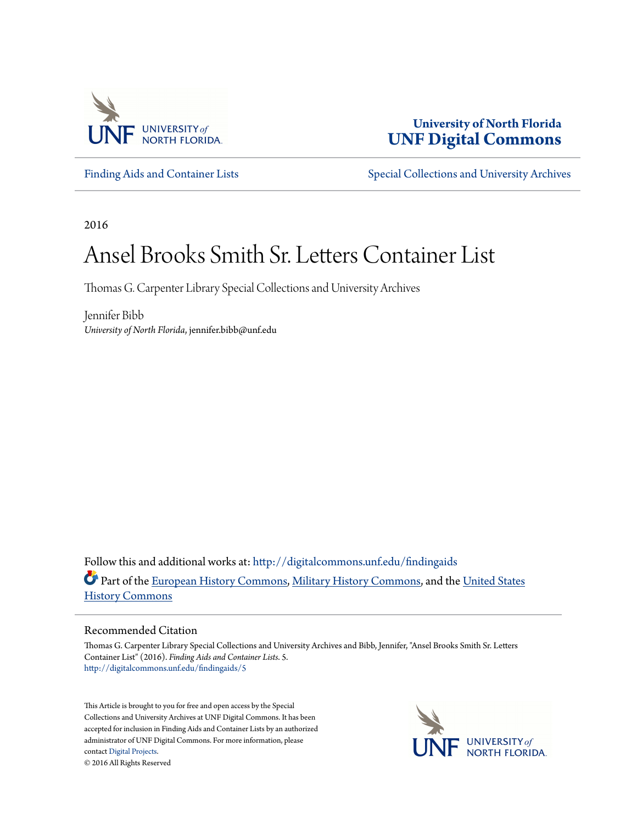

**University of North Florida [UNF Digital Commons](http://digitalcommons.unf.edu?utm_source=digitalcommons.unf.edu%2Ffindingaids%2F5&utm_medium=PDF&utm_campaign=PDFCoverPages)**

[Finding Aids and Container Lists](http://digitalcommons.unf.edu/findingaids?utm_source=digitalcommons.unf.edu%2Ffindingaids%2F5&utm_medium=PDF&utm_campaign=PDFCoverPages) [Special Collections and University Archives](http://digitalcommons.unf.edu/spec_coll?utm_source=digitalcommons.unf.edu%2Ffindingaids%2F5&utm_medium=PDF&utm_campaign=PDFCoverPages)

2016

# Ansel Brooks Smith Sr. Letters Container List

Thomas G. Carpenter Library Special Collections and University Archives

Jennifer Bibb *University of North Florida*, jennifer.bibb@unf.edu

Follow this and additional works at: [http://digitalcommons.unf.edu/findingaids](http://digitalcommons.unf.edu/findingaids?utm_source=digitalcommons.unf.edu%2Ffindingaids%2F5&utm_medium=PDF&utm_campaign=PDFCoverPages) Part of the [European History Commons](http://network.bepress.com/hgg/discipline/492?utm_source=digitalcommons.unf.edu%2Ffindingaids%2F5&utm_medium=PDF&utm_campaign=PDFCoverPages), [Military History Commons](http://network.bepress.com/hgg/discipline/504?utm_source=digitalcommons.unf.edu%2Ffindingaids%2F5&utm_medium=PDF&utm_campaign=PDFCoverPages), and the [United States](http://network.bepress.com/hgg/discipline/495?utm_source=digitalcommons.unf.edu%2Ffindingaids%2F5&utm_medium=PDF&utm_campaign=PDFCoverPages) [History Commons](http://network.bepress.com/hgg/discipline/495?utm_source=digitalcommons.unf.edu%2Ffindingaids%2F5&utm_medium=PDF&utm_campaign=PDFCoverPages)

#### Recommended Citation

Thomas G. Carpenter Library Special Collections and University Archives and Bibb, Jennifer, "Ansel Brooks Smith Sr. Letters Container List" (2016). *Finding Aids and Container Lists*. 5. [http://digitalcommons.unf.edu/findingaids/5](http://digitalcommons.unf.edu/findingaids/5?utm_source=digitalcommons.unf.edu%2Ffindingaids%2F5&utm_medium=PDF&utm_campaign=PDFCoverPages)

This Article is brought to you for free and open access by the Special Collections and University Archives at UNF Digital Commons. It has been accepted for inclusion in Finding Aids and Container Lists by an authorized administrator of UNF Digital Commons. For more information, please contact [Digital Projects.](mailto:lib-digital@unf.edu) © 2016 All Rights Reserved

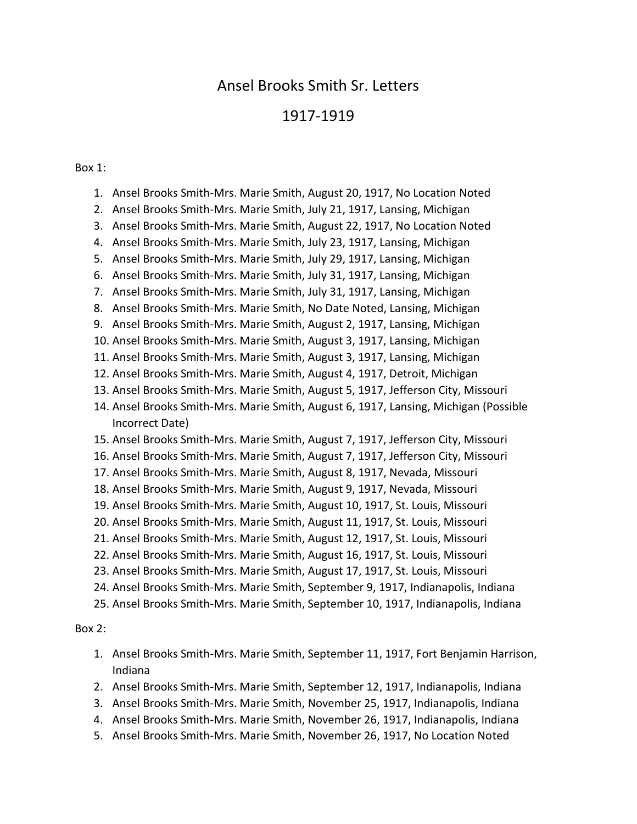# Ansel Brooks Smith Sr. Letters

# 1917-1919

# Box 1:

|               | 1. | Ansel Brooks Smith-Mrs. Marie Smith, August 20, 1917, No Location Noted                     |
|---------------|----|---------------------------------------------------------------------------------------------|
|               | 2. | Ansel Brooks Smith-Mrs. Marie Smith, July 21, 1917, Lansing, Michigan                       |
|               | 3. | Ansel Brooks Smith-Mrs. Marie Smith, August 22, 1917, No Location Noted                     |
|               | 4. | Ansel Brooks Smith-Mrs. Marie Smith, July 23, 1917, Lansing, Michigan                       |
|               | 5. | Ansel Brooks Smith-Mrs. Marie Smith, July 29, 1917, Lansing, Michigan                       |
|               | 6. | Ansel Brooks Smith-Mrs. Marie Smith, July 31, 1917, Lansing, Michigan                       |
|               | 7. | Ansel Brooks Smith-Mrs. Marie Smith, July 31, 1917, Lansing, Michigan                       |
|               | 8. | Ansel Brooks Smith-Mrs. Marie Smith, No Date Noted, Lansing, Michigan                       |
|               | 9. | Ansel Brooks Smith-Mrs. Marie Smith, August 2, 1917, Lansing, Michigan                      |
|               |    | 10. Ansel Brooks Smith-Mrs. Marie Smith, August 3, 1917, Lansing, Michigan                  |
|               |    | 11. Ansel Brooks Smith-Mrs. Marie Smith, August 3, 1917, Lansing, Michigan                  |
|               |    | 12. Ansel Brooks Smith-Mrs. Marie Smith, August 4, 1917, Detroit, Michigan                  |
|               |    | 13. Ansel Brooks Smith-Mrs. Marie Smith, August 5, 1917, Jefferson City, Missouri           |
|               |    | 14. Ansel Brooks Smith-Mrs. Marie Smith, August 6, 1917, Lansing, Michigan (Possible        |
|               |    | Incorrect Date)                                                                             |
|               |    | 15. Ansel Brooks Smith-Mrs. Marie Smith, August 7, 1917, Jefferson City, Missouri           |
|               |    | 16. Ansel Brooks Smith-Mrs. Marie Smith, August 7, 1917, Jefferson City, Missouri           |
|               |    | 17. Ansel Brooks Smith-Mrs. Marie Smith, August 8, 1917, Nevada, Missouri                   |
|               |    | 18. Ansel Brooks Smith-Mrs. Marie Smith, August 9, 1917, Nevada, Missouri                   |
|               |    | 19. Ansel Brooks Smith-Mrs. Marie Smith, August 10, 1917, St. Louis, Missouri               |
|               |    | 20. Ansel Brooks Smith-Mrs. Marie Smith, August 11, 1917, St. Louis, Missouri               |
|               |    | 21. Ansel Brooks Smith-Mrs. Marie Smith, August 12, 1917, St. Louis, Missouri               |
|               |    | 22. Ansel Brooks Smith-Mrs. Marie Smith, August 16, 1917, St. Louis, Missouri               |
|               |    | 23. Ansel Brooks Smith-Mrs. Marie Smith, August 17, 1917, St. Louis, Missouri               |
|               |    | 24. Ansel Brooks Smith-Mrs. Marie Smith, September 9, 1917, Indianapolis, Indiana           |
|               |    | 25. Ansel Brooks Smith-Mrs. Marie Smith, September 10, 1917, Indianapolis, Indiana          |
| <b>Box 2:</b> |    |                                                                                             |
|               | 1. | Ansel Brooks Smith-Mrs. Marie Smith, September 11, 1917, Fort Benjamin Harrison,<br>Indiana |
|               |    | 2. Ansel Brooks Smith-Mrs. Marie Smith, September 12, 1917, Indianapolis, Indiana           |

- 3. Ansel Brooks Smith-Mrs. Marie Smith, November 25, 1917, Indianapolis, Indiana
- 4. Ansel Brooks Smith-Mrs. Marie Smith, November 26, 1917, Indianapolis, Indiana
- 5. Ansel Brooks Smith-Mrs. Marie Smith, November 26, 1917, No Location Noted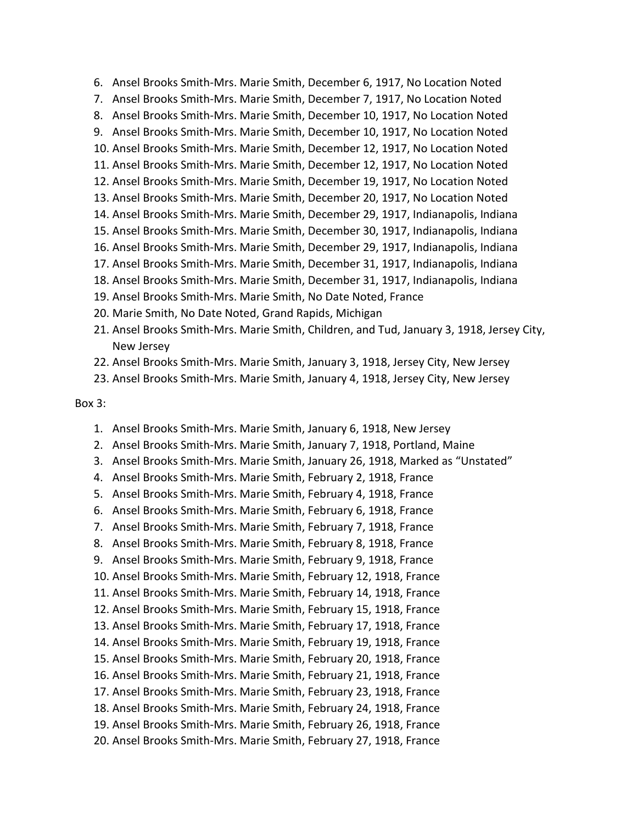7. Ansel Brooks Smith-Mrs. Marie Smith, December 7, 1917, No Location Noted 8. Ansel Brooks Smith-Mrs. Marie Smith, December 10, 1917, No Location Noted 9. Ansel Brooks Smith-Mrs. Marie Smith, December 10, 1917, No Location Noted 10. Ansel Brooks Smith-Mrs. Marie Smith, December 12, 1917, No Location Noted 11. Ansel Brooks Smith-Mrs. Marie Smith, December 12, 1917, No Location Noted 12. Ansel Brooks Smith-Mrs. Marie Smith, December 19, 1917, No Location Noted 13. Ansel Brooks Smith-Mrs. Marie Smith, December 20, 1917, No Location Noted 14. Ansel Brooks Smith-Mrs. Marie Smith, December 29, 1917, Indianapolis, Indiana 15. Ansel Brooks Smith-Mrs. Marie Smith, December 30, 1917, Indianapolis, Indiana 16. Ansel Brooks Smith-Mrs. Marie Smith, December 29, 1917, Indianapolis, Indiana 17. Ansel Brooks Smith-Mrs. Marie Smith, December 31, 1917, Indianapolis, Indiana 18. Ansel Brooks Smith-Mrs. Marie Smith, December 31, 1917, Indianapolis, Indiana 19. Ansel Brooks Smith-Mrs. Marie Smith, No Date Noted, France 20. Marie Smith, No Date Noted, Grand Rapids, Michigan 21. Ansel Brooks Smith-Mrs. Marie Smith, Children, and Tud, January 3, 1918, Jersey City, New Jersey 22. Ansel Brooks Smith-Mrs. Marie Smith, January 3, 1918, Jersey City, New Jersey 23. Ansel Brooks Smith-Mrs. Marie Smith, January 4, 1918, Jersey City, New Jersey

6. Ansel Brooks Smith-Mrs. Marie Smith, December 6, 1917, No Location Noted

#### Box 3:

- 1. Ansel Brooks Smith-Mrs. Marie Smith, January 6, 1918, New Jersey
- 2. Ansel Brooks Smith-Mrs. Marie Smith, January 7, 1918, Portland, Maine
- 3. Ansel Brooks Smith-Mrs. Marie Smith, January 26, 1918, Marked as "Unstated"
- 4. Ansel Brooks Smith-Mrs. Marie Smith, February 2, 1918, France
- 5. Ansel Brooks Smith-Mrs. Marie Smith, February 4, 1918, France
- 6. Ansel Brooks Smith-Mrs. Marie Smith, February 6, 1918, France
- 7. Ansel Brooks Smith-Mrs. Marie Smith, February 7, 1918, France
- 8. Ansel Brooks Smith-Mrs. Marie Smith, February 8, 1918, France
- 9. Ansel Brooks Smith-Mrs. Marie Smith, February 9, 1918, France
- 10. Ansel Brooks Smith-Mrs. Marie Smith, February 12, 1918, France
- 11. Ansel Brooks Smith-Mrs. Marie Smith, February 14, 1918, France
- 12. Ansel Brooks Smith-Mrs. Marie Smith, February 15, 1918, France
- 13. Ansel Brooks Smith-Mrs. Marie Smith, February 17, 1918, France
- 14. Ansel Brooks Smith-Mrs. Marie Smith, February 19, 1918, France
- 15. Ansel Brooks Smith-Mrs. Marie Smith, February 20, 1918, France
- 16. Ansel Brooks Smith-Mrs. Marie Smith, February 21, 1918, France
- 17. Ansel Brooks Smith-Mrs. Marie Smith, February 23, 1918, France
- 18. Ansel Brooks Smith-Mrs. Marie Smith, February 24, 1918, France
- 19. Ansel Brooks Smith-Mrs. Marie Smith, February 26, 1918, France
- 20. Ansel Brooks Smith-Mrs. Marie Smith, February 27, 1918, France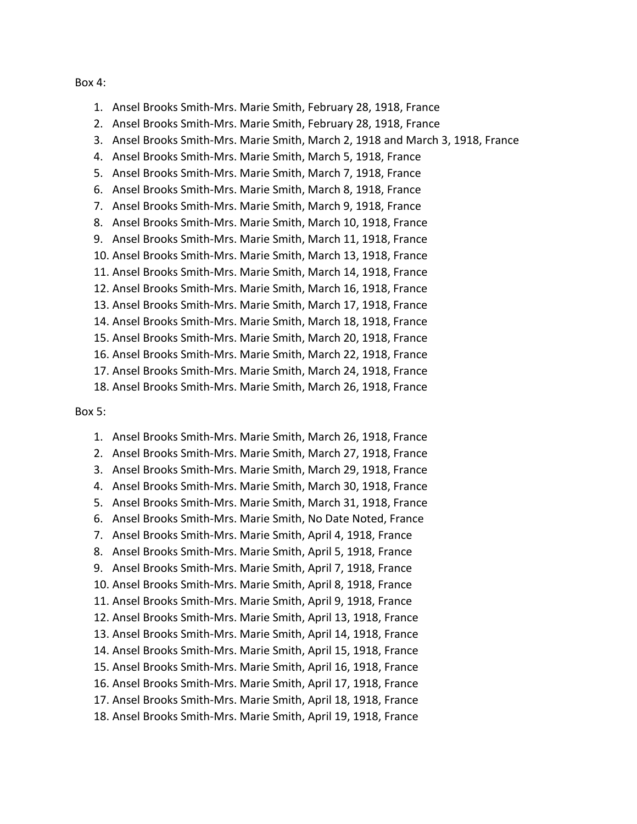#### Box 4:

- 1. Ansel Brooks Smith-Mrs. Marie Smith, February 28, 1918, France
- 2. Ansel Brooks Smith-Mrs. Marie Smith, February 28, 1918, France
- 3. Ansel Brooks Smith-Mrs. Marie Smith, March 2, 1918 and March 3, 1918, France
- 4. Ansel Brooks Smith-Mrs. Marie Smith, March 5, 1918, France
- 5. Ansel Brooks Smith-Mrs. Marie Smith, March 7, 1918, France
- 6. Ansel Brooks Smith-Mrs. Marie Smith, March 8, 1918, France
- 7. Ansel Brooks Smith-Mrs. Marie Smith, March 9, 1918, France
- 8. Ansel Brooks Smith-Mrs. Marie Smith, March 10, 1918, France
- 9. Ansel Brooks Smith-Mrs. Marie Smith, March 11, 1918, France
- 10. Ansel Brooks Smith-Mrs. Marie Smith, March 13, 1918, France
- 11. Ansel Brooks Smith-Mrs. Marie Smith, March 14, 1918, France
- 12. Ansel Brooks Smith-Mrs. Marie Smith, March 16, 1918, France
- 13. Ansel Brooks Smith-Mrs. Marie Smith, March 17, 1918, France
- 14. Ansel Brooks Smith-Mrs. Marie Smith, March 18, 1918, France
- 15. Ansel Brooks Smith-Mrs. Marie Smith, March 20, 1918, France
- 16. Ansel Brooks Smith-Mrs. Marie Smith, March 22, 1918, France
- 17. Ansel Brooks Smith-Mrs. Marie Smith, March 24, 1918, France
- 18. Ansel Brooks Smith-Mrs. Marie Smith, March 26, 1918, France

#### Box 5:

1. Ansel Brooks Smith-Mrs. Marie Smith, March 26, 1918, France 2. Ansel Brooks Smith-Mrs. Marie Smith, March 27, 1918, France 3. Ansel Brooks Smith-Mrs. Marie Smith, March 29, 1918, France 4. Ansel Brooks Smith-Mrs. Marie Smith, March 30, 1918, France 5. Ansel Brooks Smith-Mrs. Marie Smith, March 31, 1918, France 6. Ansel Brooks Smith-Mrs. Marie Smith, No Date Noted, France 7. Ansel Brooks Smith-Mrs. Marie Smith, April 4, 1918, France 8. Ansel Brooks Smith-Mrs. Marie Smith, April 5, 1918, France 9. Ansel Brooks Smith-Mrs. Marie Smith, April 7, 1918, France 10. Ansel Brooks Smith-Mrs. Marie Smith, April 8, 1918, France 11. Ansel Brooks Smith-Mrs. Marie Smith, April 9, 1918, France 12. Ansel Brooks Smith-Mrs. Marie Smith, April 13, 1918, France 13. Ansel Brooks Smith-Mrs. Marie Smith, April 14, 1918, France 14. Ansel Brooks Smith-Mrs. Marie Smith, April 15, 1918, France 15. Ansel Brooks Smith-Mrs. Marie Smith, April 16, 1918, France 16. Ansel Brooks Smith-Mrs. Marie Smith, April 17, 1918, France 17. Ansel Brooks Smith-Mrs. Marie Smith, April 18, 1918, France 18. Ansel Brooks Smith-Mrs. Marie Smith, April 19, 1918, France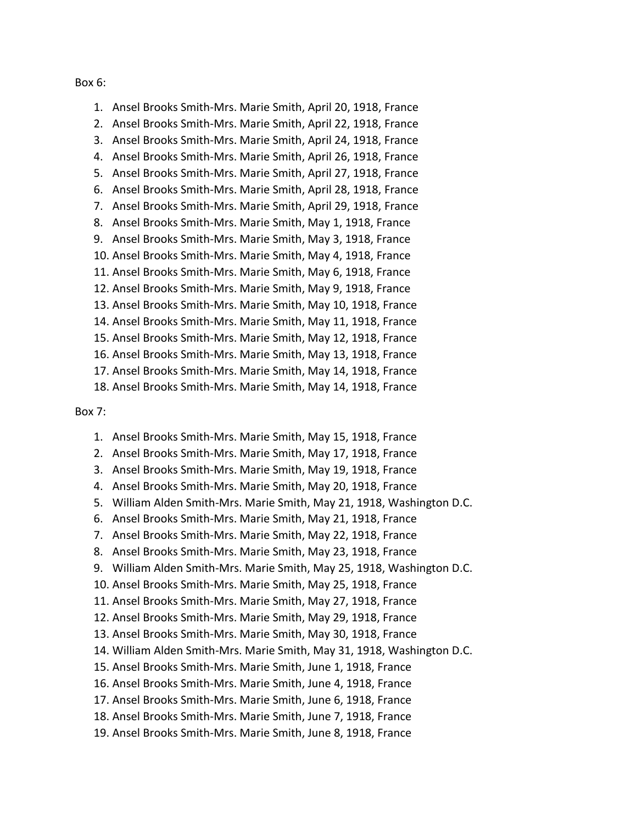#### Box 6:

1. Ansel Brooks Smith-Mrs. Marie Smith, April 20, 1918, France 2. Ansel Brooks Smith-Mrs. Marie Smith, April 22, 1918, France 3. Ansel Brooks Smith-Mrs. Marie Smith, April 24, 1918, France 4. Ansel Brooks Smith-Mrs. Marie Smith, April 26, 1918, France 5. Ansel Brooks Smith-Mrs. Marie Smith, April 27, 1918, France 6. Ansel Brooks Smith-Mrs. Marie Smith, April 28, 1918, France 7. Ansel Brooks Smith-Mrs. Marie Smith, April 29, 1918, France 8. Ansel Brooks Smith-Mrs. Marie Smith, May 1, 1918, France 9. Ansel Brooks Smith-Mrs. Marie Smith, May 3, 1918, France 10. Ansel Brooks Smith-Mrs. Marie Smith, May 4, 1918, France 11. Ansel Brooks Smith-Mrs. Marie Smith, May 6, 1918, France 12. Ansel Brooks Smith-Mrs. Marie Smith, May 9, 1918, France 13. Ansel Brooks Smith-Mrs. Marie Smith, May 10, 1918, France 14. Ansel Brooks Smith-Mrs. Marie Smith, May 11, 1918, France 15. Ansel Brooks Smith-Mrs. Marie Smith, May 12, 1918, France 16. Ansel Brooks Smith-Mrs. Marie Smith, May 13, 1918, France 17. Ansel Brooks Smith-Mrs. Marie Smith, May 14, 1918, France

18. Ansel Brooks Smith-Mrs. Marie Smith, May 14, 1918, France

#### Box 7:

- 1. Ansel Brooks Smith-Mrs. Marie Smith, May 15, 1918, France
- 2. Ansel Brooks Smith-Mrs. Marie Smith, May 17, 1918, France
- 3. Ansel Brooks Smith-Mrs. Marie Smith, May 19, 1918, France
- 4. Ansel Brooks Smith-Mrs. Marie Smith, May 20, 1918, France
- 5. William Alden Smith-Mrs. Marie Smith, May 21, 1918, Washington D.C.
- 6. Ansel Brooks Smith-Mrs. Marie Smith, May 21, 1918, France
- 7. Ansel Brooks Smith-Mrs. Marie Smith, May 22, 1918, France
- 8. Ansel Brooks Smith-Mrs. Marie Smith, May 23, 1918, France
- 9. William Alden Smith-Mrs. Marie Smith, May 25, 1918, Washington D.C.
- 10. Ansel Brooks Smith-Mrs. Marie Smith, May 25, 1918, France
- 11. Ansel Brooks Smith-Mrs. Marie Smith, May 27, 1918, France
- 12. Ansel Brooks Smith-Mrs. Marie Smith, May 29, 1918, France
- 13. Ansel Brooks Smith-Mrs. Marie Smith, May 30, 1918, France
- 14. William Alden Smith-Mrs. Marie Smith, May 31, 1918, Washington D.C.
- 15. Ansel Brooks Smith-Mrs. Marie Smith, June 1, 1918, France
- 16. Ansel Brooks Smith-Mrs. Marie Smith, June 4, 1918, France
- 17. Ansel Brooks Smith-Mrs. Marie Smith, June 6, 1918, France
- 18. Ansel Brooks Smith-Mrs. Marie Smith, June 7, 1918, France
- 19. Ansel Brooks Smith-Mrs. Marie Smith, June 8, 1918, France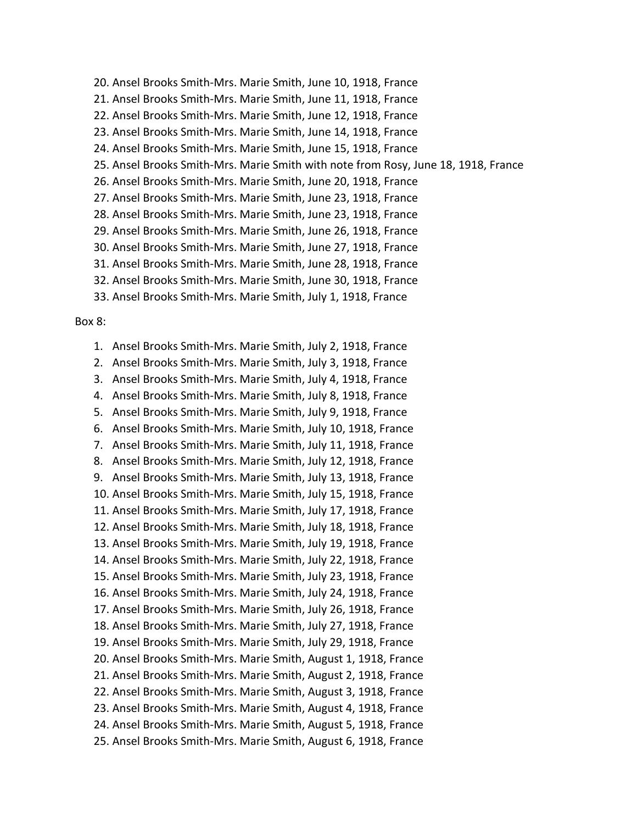- 20. Ansel Brooks Smith-Mrs. Marie Smith, June 10, 1918, France
- 21. Ansel Brooks Smith-Mrs. Marie Smith, June 11, 1918, France
- 22. Ansel Brooks Smith-Mrs. Marie Smith, June 12, 1918, France
- 23. Ansel Brooks Smith-Mrs. Marie Smith, June 14, 1918, France
- 24. Ansel Brooks Smith-Mrs. Marie Smith, June 15, 1918, France
- 25. Ansel Brooks Smith-Mrs. Marie Smith with note from Rosy, June 18, 1918, France
- 26. Ansel Brooks Smith-Mrs. Marie Smith, June 20, 1918, France
- 27. Ansel Brooks Smith-Mrs. Marie Smith, June 23, 1918, France
- 28. Ansel Brooks Smith-Mrs. Marie Smith, June 23, 1918, France
- 29. Ansel Brooks Smith-Mrs. Marie Smith, June 26, 1918, France
- 30. Ansel Brooks Smith-Mrs. Marie Smith, June 27, 1918, France
- 31. Ansel Brooks Smith-Mrs. Marie Smith, June 28, 1918, France
- 32. Ansel Brooks Smith-Mrs. Marie Smith, June 30, 1918, France
- 33. Ansel Brooks Smith-Mrs. Marie Smith, July 1, 1918, France

#### Box 8:

1. Ansel Brooks Smith-Mrs. Marie Smith, July 2, 1918, France 2. Ansel Brooks Smith-Mrs. Marie Smith, July 3, 1918, France 3. Ansel Brooks Smith-Mrs. Marie Smith, July 4, 1918, France 4. Ansel Brooks Smith-Mrs. Marie Smith, July 8, 1918, France 5. Ansel Brooks Smith-Mrs. Marie Smith, July 9, 1918, France 6. Ansel Brooks Smith-Mrs. Marie Smith, July 10, 1918, France 7. Ansel Brooks Smith-Mrs. Marie Smith, July 11, 1918, France 8. Ansel Brooks Smith-Mrs. Marie Smith, July 12, 1918, France 9. Ansel Brooks Smith-Mrs. Marie Smith, July 13, 1918, France 10. Ansel Brooks Smith-Mrs. Marie Smith, July 15, 1918, France 11. Ansel Brooks Smith-Mrs. Marie Smith, July 17, 1918, France 12. Ansel Brooks Smith-Mrs. Marie Smith, July 18, 1918, France 13. Ansel Brooks Smith-Mrs. Marie Smith, July 19, 1918, France 14. Ansel Brooks Smith-Mrs. Marie Smith, July 22, 1918, France 15. Ansel Brooks Smith-Mrs. Marie Smith, July 23, 1918, France 16. Ansel Brooks Smith-Mrs. Marie Smith, July 24, 1918, France 17. Ansel Brooks Smith-Mrs. Marie Smith, July 26, 1918, France 18. Ansel Brooks Smith-Mrs. Marie Smith, July 27, 1918, France 19. Ansel Brooks Smith-Mrs. Marie Smith, July 29, 1918, France 20. Ansel Brooks Smith-Mrs. Marie Smith, August 1, 1918, France 21. Ansel Brooks Smith-Mrs. Marie Smith, August 2, 1918, France 22. Ansel Brooks Smith-Mrs. Marie Smith, August 3, 1918, France 23. Ansel Brooks Smith-Mrs. Marie Smith, August 4, 1918, France 24. Ansel Brooks Smith-Mrs. Marie Smith, August 5, 1918, France 25. Ansel Brooks Smith-Mrs. Marie Smith, August 6, 1918, France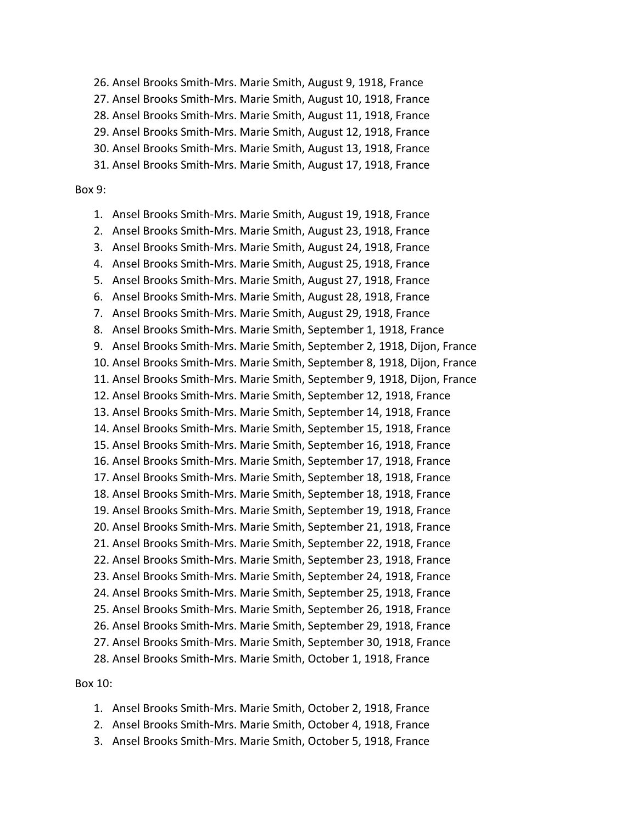26. Ansel Brooks Smith-Mrs. Marie Smith, August 9, 1918, France

27. Ansel Brooks Smith-Mrs. Marie Smith, August 10, 1918, France

28. Ansel Brooks Smith-Mrs. Marie Smith, August 11, 1918, France

29. Ansel Brooks Smith-Mrs. Marie Smith, August 12, 1918, France

30. Ansel Brooks Smith-Mrs. Marie Smith, August 13, 1918, France

31. Ansel Brooks Smith-Mrs. Marie Smith, August 17, 1918, France

# Box 9:

1. Ansel Brooks Smith-Mrs. Marie Smith, August 19, 1918, France 2. Ansel Brooks Smith-Mrs. Marie Smith, August 23, 1918, France 3. Ansel Brooks Smith-Mrs. Marie Smith, August 24, 1918, France 4. Ansel Brooks Smith-Mrs. Marie Smith, August 25, 1918, France 5. Ansel Brooks Smith-Mrs. Marie Smith, August 27, 1918, France 6. Ansel Brooks Smith-Mrs. Marie Smith, August 28, 1918, France 7. Ansel Brooks Smith-Mrs. Marie Smith, August 29, 1918, France 8. Ansel Brooks Smith-Mrs. Marie Smith, September 1, 1918, France 9. Ansel Brooks Smith-Mrs. Marie Smith, September 2, 1918, Dijon, France 10. Ansel Brooks Smith-Mrs. Marie Smith, September 8, 1918, Dijon, France 11. Ansel Brooks Smith-Mrs. Marie Smith, September 9, 1918, Dijon, France 12. Ansel Brooks Smith-Mrs. Marie Smith, September 12, 1918, France 13. Ansel Brooks Smith-Mrs. Marie Smith, September 14, 1918, France 14. Ansel Brooks Smith-Mrs. Marie Smith, September 15, 1918, France 15. Ansel Brooks Smith-Mrs. Marie Smith, September 16, 1918, France 16. Ansel Brooks Smith-Mrs. Marie Smith, September 17, 1918, France 17. Ansel Brooks Smith-Mrs. Marie Smith, September 18, 1918, France 18. Ansel Brooks Smith-Mrs. Marie Smith, September 18, 1918, France 19. Ansel Brooks Smith-Mrs. Marie Smith, September 19, 1918, France 20. Ansel Brooks Smith-Mrs. Marie Smith, September 21, 1918, France 21. Ansel Brooks Smith-Mrs. Marie Smith, September 22, 1918, France 22. Ansel Brooks Smith-Mrs. Marie Smith, September 23, 1918, France 23. Ansel Brooks Smith-Mrs. Marie Smith, September 24, 1918, France 24. Ansel Brooks Smith-Mrs. Marie Smith, September 25, 1918, France 25. Ansel Brooks Smith-Mrs. Marie Smith, September 26, 1918, France 26. Ansel Brooks Smith-Mrs. Marie Smith, September 29, 1918, France 27. Ansel Brooks Smith-Mrs. Marie Smith, September 30, 1918, France 28. Ansel Brooks Smith-Mrs. Marie Smith, October 1, 1918, France

## Box 10:

- 1. Ansel Brooks Smith-Mrs. Marie Smith, October 2, 1918, France
- 2. Ansel Brooks Smith-Mrs. Marie Smith, October 4, 1918, France
- 3. Ansel Brooks Smith-Mrs. Marie Smith, October 5, 1918, France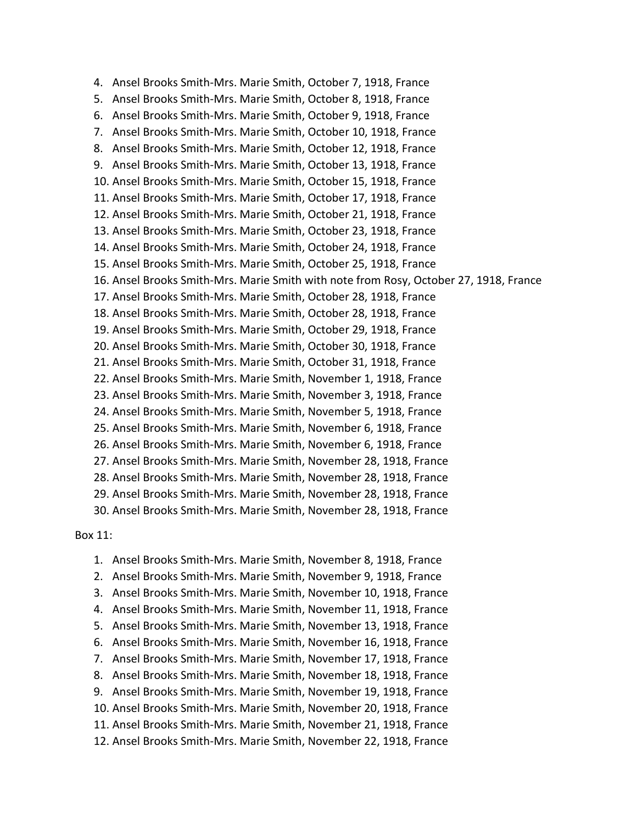4. Ansel Brooks Smith-Mrs. Marie Smith, October 7, 1918, France 5. Ansel Brooks Smith-Mrs. Marie Smith, October 8, 1918, France 6. Ansel Brooks Smith-Mrs. Marie Smith, October 9, 1918, France 7. Ansel Brooks Smith-Mrs. Marie Smith, October 10, 1918, France 8. Ansel Brooks Smith-Mrs. Marie Smith, October 12, 1918, France 9. Ansel Brooks Smith-Mrs. Marie Smith, October 13, 1918, France 10. Ansel Brooks Smith-Mrs. Marie Smith, October 15, 1918, France 11. Ansel Brooks Smith-Mrs. Marie Smith, October 17, 1918, France 12. Ansel Brooks Smith-Mrs. Marie Smith, October 21, 1918, France 13. Ansel Brooks Smith-Mrs. Marie Smith, October 23, 1918, France 14. Ansel Brooks Smith-Mrs. Marie Smith, October 24, 1918, France 15. Ansel Brooks Smith-Mrs. Marie Smith, October 25, 1918, France 16. Ansel Brooks Smith-Mrs. Marie Smith with note from Rosy, October 27, 1918, France 17. Ansel Brooks Smith-Mrs. Marie Smith, October 28, 1918, France 18. Ansel Brooks Smith-Mrs. Marie Smith, October 28, 1918, France 19. Ansel Brooks Smith-Mrs. Marie Smith, October 29, 1918, France 20. Ansel Brooks Smith-Mrs. Marie Smith, October 30, 1918, France 21. Ansel Brooks Smith-Mrs. Marie Smith, October 31, 1918, France 22. Ansel Brooks Smith-Mrs. Marie Smith, November 1, 1918, France 23. Ansel Brooks Smith-Mrs. Marie Smith, November 3, 1918, France 24. Ansel Brooks Smith-Mrs. Marie Smith, November 5, 1918, France 25. Ansel Brooks Smith-Mrs. Marie Smith, November 6, 1918, France 26. Ansel Brooks Smith-Mrs. Marie Smith, November 6, 1918, France 27. Ansel Brooks Smith-Mrs. Marie Smith, November 28, 1918, France 28. Ansel Brooks Smith-Mrs. Marie Smith, November 28, 1918, France 29. Ansel Brooks Smith-Mrs. Marie Smith, November 28, 1918, France 30. Ansel Brooks Smith-Mrs. Marie Smith, November 28, 1918, France

### Box 11:

1. Ansel Brooks Smith-Mrs. Marie Smith, November 8, 1918, France 2. Ansel Brooks Smith-Mrs. Marie Smith, November 9, 1918, France 3. Ansel Brooks Smith-Mrs. Marie Smith, November 10, 1918, France 4. Ansel Brooks Smith-Mrs. Marie Smith, November 11, 1918, France 5. Ansel Brooks Smith-Mrs. Marie Smith, November 13, 1918, France 6. Ansel Brooks Smith-Mrs. Marie Smith, November 16, 1918, France 7. Ansel Brooks Smith-Mrs. Marie Smith, November 17, 1918, France 8. Ansel Brooks Smith-Mrs. Marie Smith, November 18, 1918, France 9. Ansel Brooks Smith-Mrs. Marie Smith, November 19, 1918, France 10. Ansel Brooks Smith-Mrs. Marie Smith, November 20, 1918, France 11. Ansel Brooks Smith-Mrs. Marie Smith, November 21, 1918, France 12. Ansel Brooks Smith-Mrs. Marie Smith, November 22, 1918, France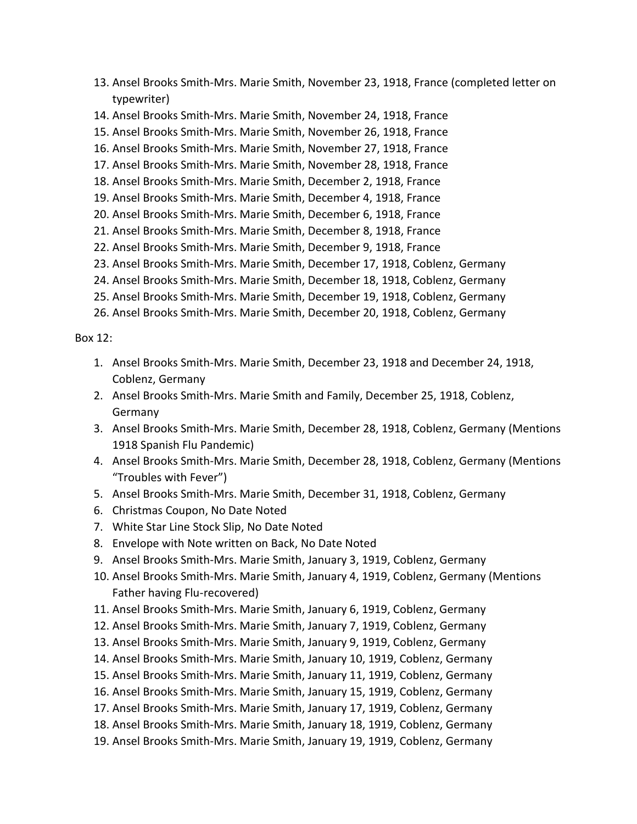- 13. Ansel Brooks Smith-Mrs. Marie Smith, November 23, 1918, France (completed letter on typewriter)
- 14. Ansel Brooks Smith-Mrs. Marie Smith, November 24, 1918, France
- 15. Ansel Brooks Smith-Mrs. Marie Smith, November 26, 1918, France
- 16. Ansel Brooks Smith-Mrs. Marie Smith, November 27, 1918, France
- 17. Ansel Brooks Smith-Mrs. Marie Smith, November 28, 1918, France
- 18. Ansel Brooks Smith-Mrs. Marie Smith, December 2, 1918, France
- 19. Ansel Brooks Smith-Mrs. Marie Smith, December 4, 1918, France
- 20. Ansel Brooks Smith-Mrs. Marie Smith, December 6, 1918, France
- 21. Ansel Brooks Smith-Mrs. Marie Smith, December 8, 1918, France
- 22. Ansel Brooks Smith-Mrs. Marie Smith, December 9, 1918, France
- 23. Ansel Brooks Smith-Mrs. Marie Smith, December 17, 1918, Coblenz, Germany
- 24. Ansel Brooks Smith-Mrs. Marie Smith, December 18, 1918, Coblenz, Germany
- 25. Ansel Brooks Smith-Mrs. Marie Smith, December 19, 1918, Coblenz, Germany
- 26. Ansel Brooks Smith-Mrs. Marie Smith, December 20, 1918, Coblenz, Germany

Box 12:

- 1. Ansel Brooks Smith-Mrs. Marie Smith, December 23, 1918 and December 24, 1918, Coblenz, Germany
- 2. Ansel Brooks Smith-Mrs. Marie Smith and Family, December 25, 1918, Coblenz, Germany
- 3. Ansel Brooks Smith-Mrs. Marie Smith, December 28, 1918, Coblenz, Germany (Mentions 1918 Spanish Flu Pandemic)
- 4. Ansel Brooks Smith-Mrs. Marie Smith, December 28, 1918, Coblenz, Germany (Mentions "Troubles with Fever")
- 5. Ansel Brooks Smith-Mrs. Marie Smith, December 31, 1918, Coblenz, Germany
- 6. Christmas Coupon, No Date Noted
- 7. White Star Line Stock Slip, No Date Noted
- 8. Envelope with Note written on Back, No Date Noted
- 9. Ansel Brooks Smith-Mrs. Marie Smith, January 3, 1919, Coblenz, Germany
- 10. Ansel Brooks Smith-Mrs. Marie Smith, January 4, 1919, Coblenz, Germany (Mentions Father having Flu-recovered)
- 11. Ansel Brooks Smith-Mrs. Marie Smith, January 6, 1919, Coblenz, Germany
- 12. Ansel Brooks Smith-Mrs. Marie Smith, January 7, 1919, Coblenz, Germany
- 13. Ansel Brooks Smith-Mrs. Marie Smith, January 9, 1919, Coblenz, Germany
- 14. Ansel Brooks Smith-Mrs. Marie Smith, January 10, 1919, Coblenz, Germany
- 15. Ansel Brooks Smith-Mrs. Marie Smith, January 11, 1919, Coblenz, Germany
- 16. Ansel Brooks Smith-Mrs. Marie Smith, January 15, 1919, Coblenz, Germany
- 17. Ansel Brooks Smith-Mrs. Marie Smith, January 17, 1919, Coblenz, Germany
- 18. Ansel Brooks Smith-Mrs. Marie Smith, January 18, 1919, Coblenz, Germany
- 19. Ansel Brooks Smith-Mrs. Marie Smith, January 19, 1919, Coblenz, Germany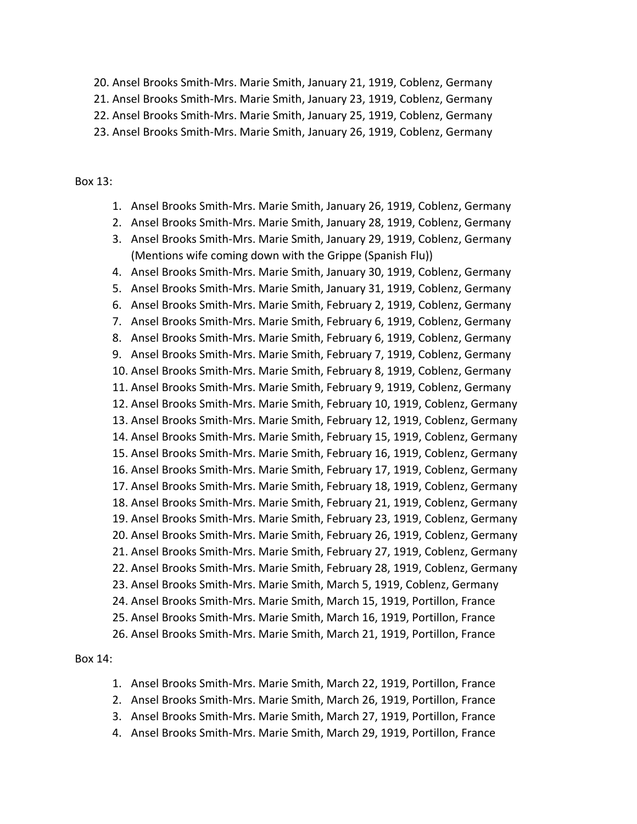20. Ansel Brooks Smith-Mrs. Marie Smith, January 21, 1919, Coblenz, Germany

21. Ansel Brooks Smith-Mrs. Marie Smith, January 23, 1919, Coblenz, Germany

22. Ansel Brooks Smith-Mrs. Marie Smith, January 25, 1919, Coblenz, Germany

23. Ansel Brooks Smith-Mrs. Marie Smith, January 26, 1919, Coblenz, Germany

## Box 13:

- 1. Ansel Brooks Smith-Mrs. Marie Smith, January 26, 1919, Coblenz, Germany
- 2. Ansel Brooks Smith-Mrs. Marie Smith, January 28, 1919, Coblenz, Germany
- 3. Ansel Brooks Smith-Mrs. Marie Smith, January 29, 1919, Coblenz, Germany (Mentions wife coming down with the Grippe (Spanish Flu))

4. Ansel Brooks Smith-Mrs. Marie Smith, January 30, 1919, Coblenz, Germany 5. Ansel Brooks Smith-Mrs. Marie Smith, January 31, 1919, Coblenz, Germany 6. Ansel Brooks Smith-Mrs. Marie Smith, February 2, 1919, Coblenz, Germany 7. Ansel Brooks Smith-Mrs. Marie Smith, February 6, 1919, Coblenz, Germany 8. Ansel Brooks Smith-Mrs. Marie Smith, February 6, 1919, Coblenz, Germany 9. Ansel Brooks Smith-Mrs. Marie Smith, February 7, 1919, Coblenz, Germany 10. Ansel Brooks Smith-Mrs. Marie Smith, February 8, 1919, Coblenz, Germany 11. Ansel Brooks Smith-Mrs. Marie Smith, February 9, 1919, Coblenz, Germany 12. Ansel Brooks Smith-Mrs. Marie Smith, February 10, 1919, Coblenz, Germany 13. Ansel Brooks Smith-Mrs. Marie Smith, February 12, 1919, Coblenz, Germany 14. Ansel Brooks Smith-Mrs. Marie Smith, February 15, 1919, Coblenz, Germany 15. Ansel Brooks Smith-Mrs. Marie Smith, February 16, 1919, Coblenz, Germany 16. Ansel Brooks Smith-Mrs. Marie Smith, February 17, 1919, Coblenz, Germany 17. Ansel Brooks Smith-Mrs. Marie Smith, February 18, 1919, Coblenz, Germany 18. Ansel Brooks Smith-Mrs. Marie Smith, February 21, 1919, Coblenz, Germany 19. Ansel Brooks Smith-Mrs. Marie Smith, February 23, 1919, Coblenz, Germany 20. Ansel Brooks Smith-Mrs. Marie Smith, February 26, 1919, Coblenz, Germany 21. Ansel Brooks Smith-Mrs. Marie Smith, February 27, 1919, Coblenz, Germany 22. Ansel Brooks Smith-Mrs. Marie Smith, February 28, 1919, Coblenz, Germany 23. Ansel Brooks Smith-Mrs. Marie Smith, March 5, 1919, Coblenz, Germany 24. Ansel Brooks Smith-Mrs. Marie Smith, March 15, 1919, Portillon, France 25. Ansel Brooks Smith-Mrs. Marie Smith, March 16, 1919, Portillon, France 26. Ansel Brooks Smith-Mrs. Marie Smith, March 21, 1919, Portillon, France

# Box 14:

- 1. Ansel Brooks Smith-Mrs. Marie Smith, March 22, 1919, Portillon, France
- 2. Ansel Brooks Smith-Mrs. Marie Smith, March 26, 1919, Portillon, France
- 3. Ansel Brooks Smith-Mrs. Marie Smith, March 27, 1919, Portillon, France
- 4. Ansel Brooks Smith-Mrs. Marie Smith, March 29, 1919, Portillon, France